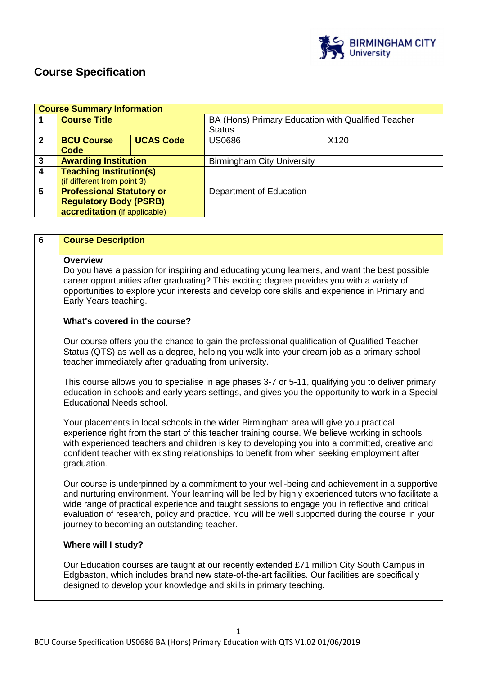

# **Course Specification**

|              | <b>Course Summary Information</b> |                  |                                                    |      |  |
|--------------|-----------------------------------|------------------|----------------------------------------------------|------|--|
|              | <b>Course Title</b>               |                  | BA (Hons) Primary Education with Qualified Teacher |      |  |
|              |                                   |                  | <b>Status</b>                                      |      |  |
| $\mathbf{2}$ | <b>BCU Course</b>                 | <b>UCAS Code</b> | <b>US0686</b>                                      | X120 |  |
|              | Code                              |                  |                                                    |      |  |
| 3            | <b>Awarding Institution</b>       |                  | <b>Birmingham City University</b>                  |      |  |
| 4            | <b>Teaching Institution(s)</b>    |                  |                                                    |      |  |
|              | (if different from point 3)       |                  |                                                    |      |  |
| 5            | <b>Professional Statutory or</b>  |                  | Department of Education                            |      |  |
|              | <b>Regulatory Body (PSRB)</b>     |                  |                                                    |      |  |
|              | accreditation (if applicable)     |                  |                                                    |      |  |

| $\overline{6}$ | <b>Course Description</b>                                                                                                                                                                                                                                                                                                                                                                                                                                 |
|----------------|-----------------------------------------------------------------------------------------------------------------------------------------------------------------------------------------------------------------------------------------------------------------------------------------------------------------------------------------------------------------------------------------------------------------------------------------------------------|
|                | <b>Overview</b><br>Do you have a passion for inspiring and educating young learners, and want the best possible<br>career opportunities after graduating? This exciting degree provides you with a variety of<br>opportunities to explore your interests and develop core skills and experience in Primary and<br>Early Years teaching.                                                                                                                   |
|                | What's covered in the course?                                                                                                                                                                                                                                                                                                                                                                                                                             |
|                | Our course offers you the chance to gain the professional qualification of Qualified Teacher<br>Status (QTS) as well as a degree, helping you walk into your dream job as a primary school<br>teacher immediately after graduating from university.                                                                                                                                                                                                       |
|                | This course allows you to specialise in age phases 3-7 or 5-11, qualifying you to deliver primary<br>education in schools and early years settings, and gives you the opportunity to work in a Special<br><b>Educational Needs school.</b>                                                                                                                                                                                                                |
|                | Your placements in local schools in the wider Birmingham area will give you practical<br>experience right from the start of this teacher training course. We believe working in schools<br>with experienced teachers and children is key to developing you into a committed, creative and<br>confident teacher with existing relationships to benefit from when seeking employment after<br>graduation.                                                   |
|                | Our course is underpinned by a commitment to your well-being and achievement in a supportive<br>and nurturing environment. Your learning will be led by highly experienced tutors who facilitate a<br>wide range of practical experience and taught sessions to engage you in reflective and critical<br>evaluation of research, policy and practice. You will be well supported during the course in your<br>journey to becoming an outstanding teacher. |
|                | Where will I study?                                                                                                                                                                                                                                                                                                                                                                                                                                       |
|                | Our Education courses are taught at our recently extended £71 million City South Campus in<br>Edgbaston, which includes brand new state-of-the-art facilities. Our facilities are specifically<br>designed to develop your knowledge and skills in primary teaching.                                                                                                                                                                                      |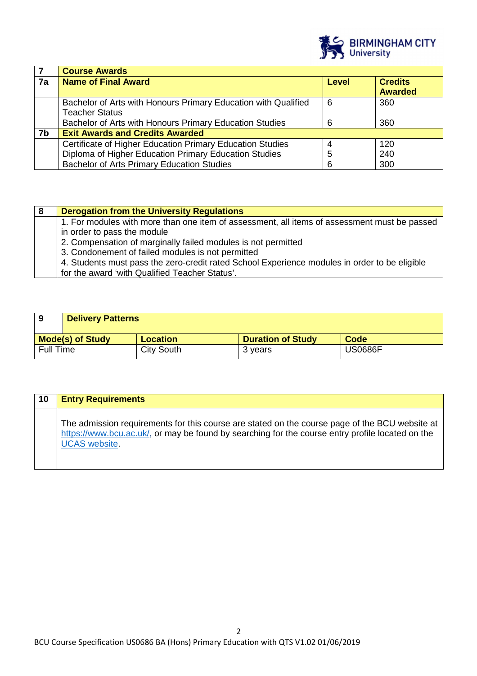

|    | <b>Course Awards</b>                                           |   |                |
|----|----------------------------------------------------------------|---|----------------|
| 7a | <b>Name of Final Award</b>                                     |   | <b>Credits</b> |
|    |                                                                |   | <b>Awarded</b> |
|    | Bachelor of Arts with Honours Primary Education with Qualified | 6 | 360            |
|    | <b>Teacher Status</b>                                          |   |                |
|    | Bachelor of Arts with Honours Primary Education Studies        | 6 | 360            |
| 7b | <b>Exit Awards and Credits Awarded</b>                         |   |                |
|    | Certificate of Higher Education Primary Education Studies      | 4 | 120            |
|    | Diploma of Higher Education Primary Education Studies          | 5 | 240            |
|    | <b>Bachelor of Arts Primary Education Studies</b>              | 6 | 300            |

| <b>Derogation from the University Regulations</b>                                             |
|-----------------------------------------------------------------------------------------------|
| 1. For modules with more than one item of assessment, all items of assessment must be passed  |
| in order to pass the module                                                                   |
| 2. Compensation of marginally failed modules is not permitted                                 |
| 3. Condonement of failed modules is not permitted                                             |
| 4. Students must pass the zero-credit rated School Experience modules in order to be eligible |
| for the award 'with Qualified Teacher Status'.                                                |

| 9                       | <b>Delivery Patterns</b> |                   |                          |                |
|-------------------------|--------------------------|-------------------|--------------------------|----------------|
| <b>Mode(s) of Study</b> |                          | <b>Location</b>   | <b>Duration of Study</b> | Code           |
| <b>Full Time</b>        |                          | <b>City South</b> | 3 years                  | <b>US0686F</b> |

| 10 | <b>Entry Requirements</b>                                                                                                                                                                                                  |
|----|----------------------------------------------------------------------------------------------------------------------------------------------------------------------------------------------------------------------------|
|    | The admission requirements for this course are stated on the course page of the BCU website at<br>https://www.bcu.ac.uk/, or may be found by searching for the course entry profile located on the<br><b>UCAS</b> website. |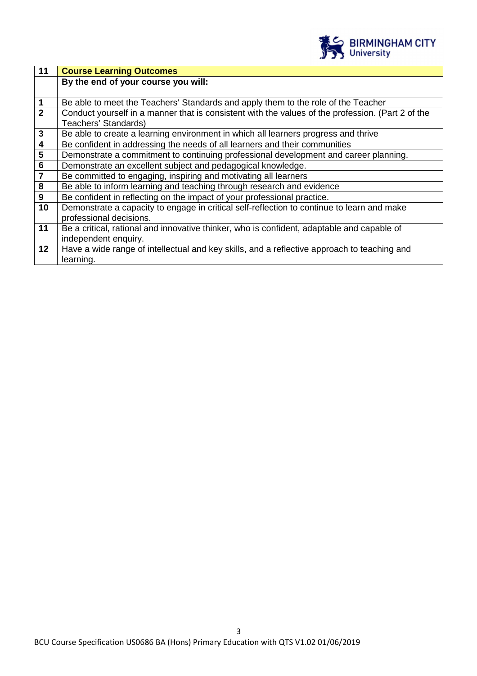

| 11                      | <b>Course Learning Outcomes</b>                                                                   |
|-------------------------|---------------------------------------------------------------------------------------------------|
|                         | By the end of your course you will:                                                               |
|                         |                                                                                                   |
| $\overline{1}$          | Be able to meet the Teachers' Standards and apply them to the role of the Teacher                 |
| $\overline{2}$          | Conduct yourself in a manner that is consistent with the values of the profession. (Part 2 of the |
|                         | Teachers' Standards)                                                                              |
| $\mathbf{3}$            | Be able to create a learning environment in which all learners progress and thrive                |
| $\boldsymbol{4}$        | Be confident in addressing the needs of all learners and their communities                        |
| $\overline{\mathbf{5}}$ | Demonstrate a commitment to continuing professional development and career planning.              |
| $6\phantom{.}6$         | Demonstrate an excellent subject and pedagogical knowledge.                                       |
| $\overline{\mathbf{7}}$ | Be committed to engaging, inspiring and motivating all learners                                   |
| 8                       | Be able to inform learning and teaching through research and evidence                             |
| $\mathbf{9}$            | Be confident in reflecting on the impact of your professional practice.                           |
| 10                      | Demonstrate a capacity to engage in critical self-reflection to continue to learn and make        |
|                         | professional decisions.                                                                           |
| 11                      | Be a critical, rational and innovative thinker, who is confident, adaptable and capable of        |
|                         | independent enquiry.                                                                              |
| 12                      | Have a wide range of intellectual and key skills, and a reflective approach to teaching and       |
|                         | learning.                                                                                         |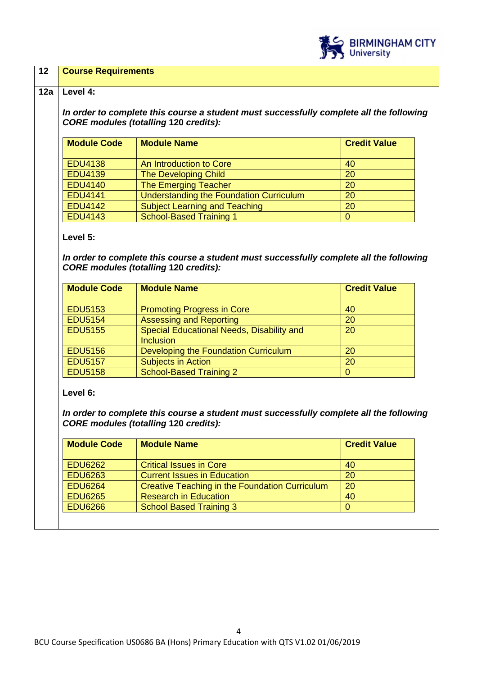

## **12 Course Requirements**

#### **12a Level 4:**

**In order to complete this course a student must successfully complete all the following CORE modules (totalling 120 credits):**

| <b>Module Code</b> | <b>Module Name</b>                             | <b>Credit Value</b> |
|--------------------|------------------------------------------------|---------------------|
| <b>EDU4138</b>     | An Introduction to Core                        | 40                  |
| <b>EDU4139</b>     | The Developing Child                           | 20                  |
| <b>EDU4140</b>     | The Emerging Teacher                           | 20                  |
| <b>EDU4141</b>     | <b>Understanding the Foundation Curriculum</b> | 20                  |
| <b>EDU4142</b>     | <b>Subject Learning and Teaching</b>           | 20                  |
| <b>EDU4143</b>     | <b>School-Based Training 1</b>                 |                     |

#### **Level 5:**

**In order to complete this course a student must successfully complete all the following CORE modules (totalling 120 credits):** 

| <b>Module Code</b> | <b>Module Name</b>                        | <b>Credit Value</b> |
|--------------------|-------------------------------------------|---------------------|
|                    |                                           |                     |
| <b>EDU5153</b>     | <b>Promoting Progress in Core</b>         | 40                  |
| <b>EDU5154</b>     | <b>Assessing and Reporting</b>            | 20                  |
| <b>EDU5155</b>     | Special Educational Needs, Disability and | 20                  |
|                    | <b>Inclusion</b>                          |                     |
| <b>EDU5156</b>     | Developing the Foundation Curriculum      | 20                  |
| <b>EDU5157</b>     | <b>Subjects in Action</b>                 | 20                  |
| <b>EDU5158</b>     | School-Based Training 2                   |                     |

**Level 6:** 

**In order to complete this course a student must successfully complete all the following CORE modules (totalling 120 credits):** 

| <b>Module Code</b> | <b>Module Name</b>                                    | <b>Credit Value</b> |
|--------------------|-------------------------------------------------------|---------------------|
| <b>EDU6262</b>     | <b>Critical Issues in Core</b>                        | 40                  |
| <b>EDU6263</b>     | <b>Current Issues in Education</b>                    | 20                  |
| <b>EDU6264</b>     | <b>Creative Teaching in the Foundation Curriculum</b> | 20                  |
| <b>EDU6265</b>     | <b>Research in Education</b>                          | 40                  |
| <b>EDU6266</b>     | <b>School Based Training 3</b>                        |                     |
|                    |                                                       |                     |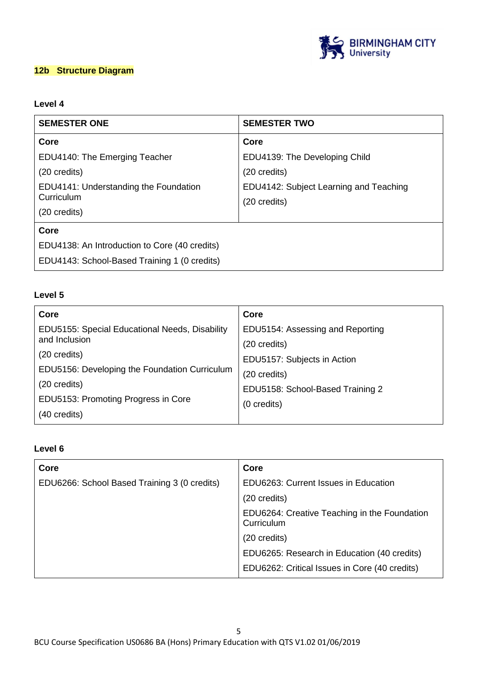

## **12b Structure Diagram**

# **Level 4**

| <b>SEMESTER ONE</b>                                 | <b>SEMESTER TWO</b>                                              |  |
|-----------------------------------------------------|------------------------------------------------------------------|--|
| Core                                                | Core                                                             |  |
| EDU4140: The Emerging Teacher                       | EDU4139: The Developing Child                                    |  |
| (20 credits)                                        | (20 credits)                                                     |  |
| EDU4141: Understanding the Foundation<br>Curriculum | EDU4142: Subject Learning and Teaching<br>$(20 \text{ credits})$ |  |
| (20 credits)                                        |                                                                  |  |
| Core                                                |                                                                  |  |
| EDU4138: An Introduction to Core (40 credits)       |                                                                  |  |
| EDU4143: School-Based Training 1 (0 credits)        |                                                                  |  |

## **Level 5**

| Core                                           | Core                             |
|------------------------------------------------|----------------------------------|
| EDU5155: Special Educational Needs, Disability | EDU5154: Assessing and Reporting |
| and Inclusion                                  | $(20 \text{ credits})$           |
| (20 credits)                                   | EDU5157: Subjects in Action      |
| EDU5156: Developing the Foundation Curriculum  | $(20 \text{ credits})$           |
| (20 credits)                                   | EDU5158: School-Based Training 2 |
| EDU5153: Promoting Progress in Core            |                                  |
| (40 credits)                                   | (0 credits)                      |

# **Level 6**

| Core                                         | Core                                                       |
|----------------------------------------------|------------------------------------------------------------|
| EDU6266: School Based Training 3 (0 credits) | EDU6263: Current Issues in Education                       |
|                                              | (20 credits)                                               |
|                                              | EDU6264: Creative Teaching in the Foundation<br>Curriculum |
|                                              | (20 credits)                                               |
|                                              | EDU6265: Research in Education (40 credits)                |
|                                              | EDU6262: Critical Issues in Core (40 credits)              |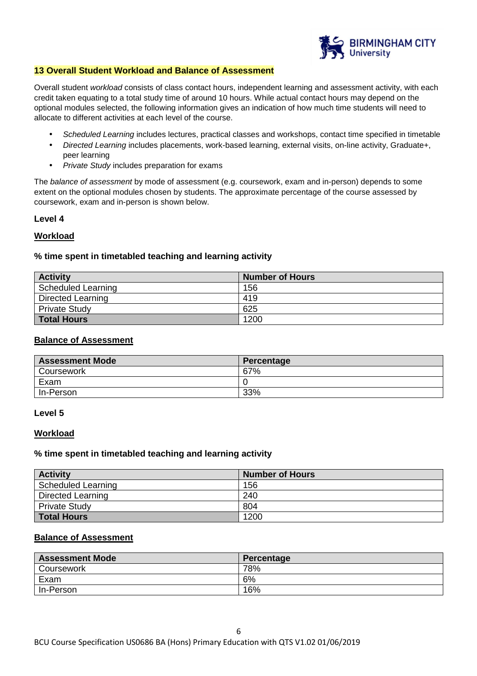

#### **13 Overall Student Workload and Balance of Assessment**

Overall student workload consists of class contact hours, independent learning and assessment activity, with each credit taken equating to a total study time of around 10 hours. While actual contact hours may depend on the optional modules selected, the following information gives an indication of how much time students will need to allocate to different activities at each level of the course.

- Scheduled Learning includes lectures, practical classes and workshops, contact time specified in timetable
- Directed Learning includes placements, work-based learning, external visits, on-line activity, Graduate+, peer learning
- Private Study includes preparation for exams

The balance of assessment by mode of assessment (e.g. coursework, exam and in-person) depends to some extent on the optional modules chosen by students. The approximate percentage of the course assessed by coursework, exam and in-person is shown below.

#### **Level 4**

#### **Workload**

#### **% time spent in timetabled teaching and learning activity**

| <b>Activity</b>          | <b>Number of Hours</b> |
|--------------------------|------------------------|
| Scheduled Learning       | 156                    |
| <b>Directed Learning</b> | 419                    |
| <b>Private Study</b>     | 625                    |
| <b>Total Hours</b>       | 1200                   |

#### **Balance of Assessment**

| <b>Assessment Mode</b> | Percentage |
|------------------------|------------|
| Coursework             | 67%        |
| Exam                   |            |
| In-Person              | 33%        |

#### **Level 5**

#### **Workload**

#### **% time spent in timetabled teaching and learning activity**

| <b>Activity</b>      | <b>Number of Hours</b> |
|----------------------|------------------------|
| Scheduled Learning   | 156                    |
| Directed Learning    | 240                    |
| <b>Private Study</b> | 804                    |
| <b>Total Hours</b>   | 1200                   |

## **Balance of Assessment**

| <b>Assessment Mode</b> | Percentage |
|------------------------|------------|
| Coursework             | 78%        |
| Exam                   | 6%         |
| In-Person              | 16%        |